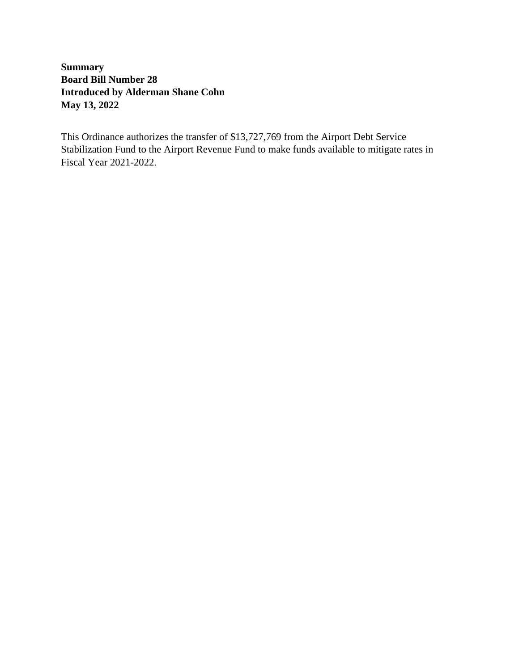**Summary Board Bill Number 28 Introduced by Alderman Shane Cohn May 13, 2022**

This Ordinance authorizes the transfer of \$13,727,769 from the Airport Debt Service Stabilization Fund to the Airport Revenue Fund to make funds available to mitigate rates in Fiscal Year 2021-2022.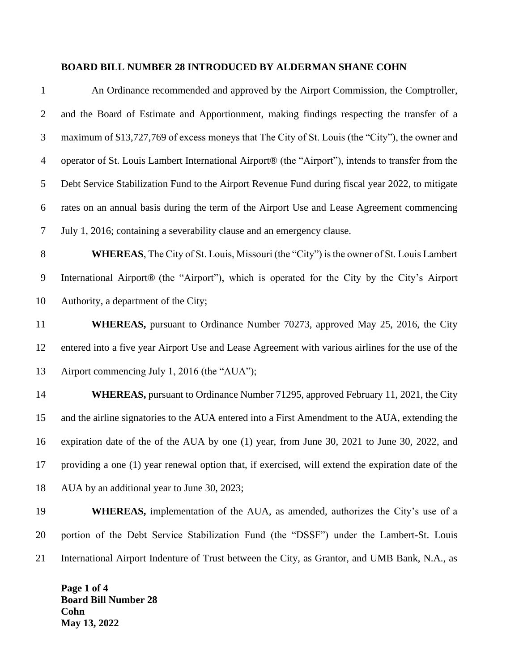#### **BOARD BILL NUMBER 28 INTRODUCED BY ALDERMAN SHANE COHN**

| $\mathbf{1}$   | An Ordinance recommended and approved by the Airport Commission, the Comptroller,                  |
|----------------|----------------------------------------------------------------------------------------------------|
| $\overline{2}$ | and the Board of Estimate and Apportionment, making findings respecting the transfer of a          |
| 3              | maximum of \$13,727,769 of excess moneys that The City of St. Louis (the "City"), the owner and    |
| $\overline{4}$ | operator of St. Louis Lambert International Airport® (the "Airport"), intends to transfer from the |
| 5              | Debt Service Stabilization Fund to the Airport Revenue Fund during fiscal year 2022, to mitigate   |
| 6              | rates on an annual basis during the term of the Airport Use and Lease Agreement commencing         |
| 7              | July 1, 2016; containing a severability clause and an emergency clause.                            |
| $8\phantom{1}$ | <b>WHEREAS</b> , The City of St. Louis, Missouri (the "City") is the owner of St. Louis Lambert    |
| 9              | International Airport® (the "Airport"), which is operated for the City by the City's Airport       |
| 10             | Authority, a department of the City;                                                               |
| 11             | <b>WHEREAS</b> , pursuant to Ordinance Number 70273, approved May 25, 2016, the City               |
| 12             | entered into a five year Airport Use and Lease Agreement with various airlines for the use of the  |
| 13             | Airport commencing July 1, 2016 (the "AUA");                                                       |
| 14             | <b>WHEREAS</b> , pursuant to Ordinance Number 71295, approved February 11, 2021, the City          |
| 15             | and the airline signatories to the AUA entered into a First Amendment to the AUA, extending the    |
| 16             | expiration date of the of the AUA by one (1) year, from June 30, 2021 to June 30, 2022, and        |
| 17             | providing a one (1) year renewal option that, if exercised, will extend the expiration date of the |
| 18             | AUA by an additional year to June 30, 2023;                                                        |
| 19             | <b>WHEREAS</b> , implementation of the AUA, as amended, authorizes the City's use of a             |
| 20             | portion of the Debt Service Stabilization Fund (the "DSSF") under the Lambert-St. Louis            |
|                |                                                                                                    |

International Airport Indenture of Trust between the City, as Grantor, and UMB Bank, N.A., as

**Page 1 of 4 Board Bill Number 28 Cohn May 13, 2022**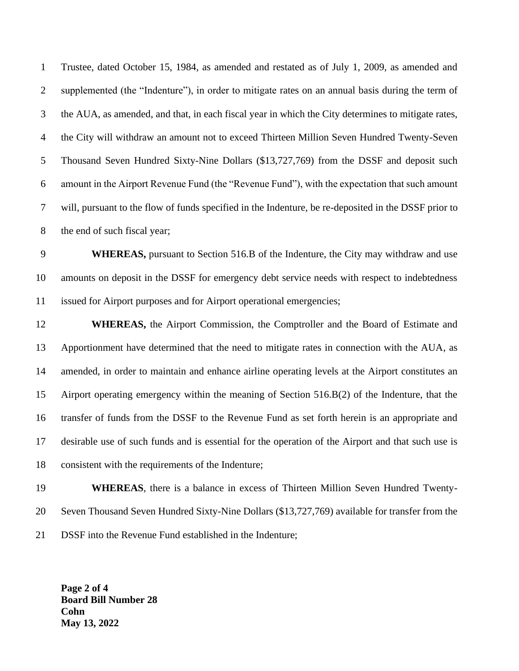Trustee, dated October 15, 1984, as amended and restated as of July 1, 2009, as amended and supplemented (the "Indenture"), in order to mitigate rates on an annual basis during the term of the AUA, as amended, and that, in each fiscal year in which the City determines to mitigate rates, the City will withdraw an amount not to exceed Thirteen Million Seven Hundred Twenty-Seven Thousand Seven Hundred Sixty-Nine Dollars (\$13,727,769) from the DSSF and deposit such amount in the Airport Revenue Fund (the "Revenue Fund"), with the expectation that such amount will, pursuant to the flow of funds specified in the Indenture, be re-deposited in the DSSF prior to 8 the end of such fiscal year;

 **WHEREAS,** pursuant to Section 516.B of the Indenture, the City may withdraw and use amounts on deposit in the DSSF for emergency debt service needs with respect to indebtedness issued for Airport purposes and for Airport operational emergencies;

 **WHEREAS,** the Airport Commission, the Comptroller and the Board of Estimate and Apportionment have determined that the need to mitigate rates in connection with the AUA, as amended, in order to maintain and enhance airline operating levels at the Airport constitutes an Airport operating emergency within the meaning of Section 516.B(2) of the Indenture, that the transfer of funds from the DSSF to the Revenue Fund as set forth herein is an appropriate and desirable use of such funds and is essential for the operation of the Airport and that such use is consistent with the requirements of the Indenture;

 **WHEREAS**, there is a balance in excess of Thirteen Million Seven Hundred Twenty- Seven Thousand Seven Hundred Sixty-Nine Dollars (\$13,727,769) available for transfer from the DSSF into the Revenue Fund established in the Indenture;

**Page 2 of 4 Board Bill Number 28 Cohn May 13, 2022**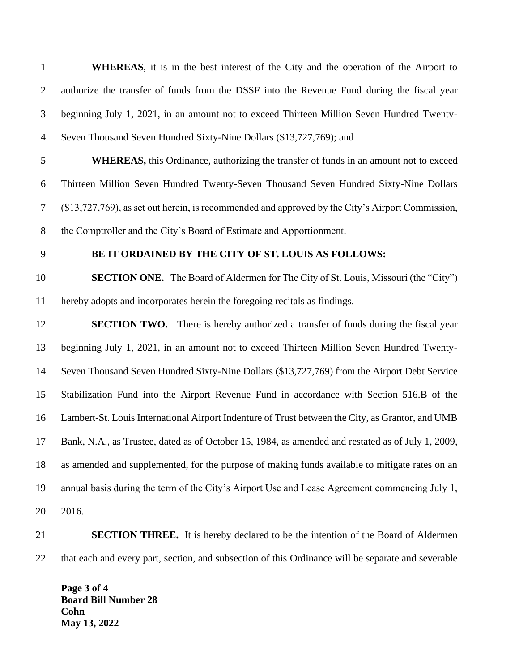| $\mathbf{1}$   | <b>WHEREAS</b> , it is in the best interest of the City and the operation of the Airport to        |
|----------------|----------------------------------------------------------------------------------------------------|
| $\overline{2}$ | authorize the transfer of funds from the DSSF into the Revenue Fund during the fiscal year         |
| 3              | beginning July 1, 2021, in an amount not to exceed Thirteen Million Seven Hundred Twenty-          |
| $\overline{4}$ | Seven Thousand Seven Hundred Sixty-Nine Dollars (\$13,727,769); and                                |
| 5              | <b>WHEREAS</b> , this Ordinance, authorizing the transfer of funds in an amount not to exceed      |
| 6              | Thirteen Million Seven Hundred Twenty-Seven Thousand Seven Hundred Sixty-Nine Dollars              |
| 7              | (\$13,727,769), as set out herein, is recommended and approved by the City's Airport Commission,   |
| $8\,$          | the Comptroller and the City's Board of Estimate and Apportionment.                                |
| 9              | BE IT ORDAINED BY THE CITY OF ST. LOUIS AS FOLLOWS:                                                |
| 10             | <b>SECTION ONE.</b> The Board of Aldermen for The City of St. Louis, Missouri (the "City")         |
| 11             | hereby adopts and incorporates herein the foregoing recitals as findings.                          |
| 12             | <b>SECTION TWO.</b> There is hereby authorized a transfer of funds during the fiscal year          |
| 13             | beginning July 1, 2021, in an amount not to exceed Thirteen Million Seven Hundred Twenty-          |
| 14             | Seven Thousand Seven Hundred Sixty-Nine Dollars (\$13,727,769) from the Airport Debt Service       |
| 15             | Stabilization Fund into the Airport Revenue Fund in accordance with Section 516.B of the           |
| 16             | Lambert-St. Louis International Airport Indenture of Trust between the City, as Grantor, and UMB   |
| 17             | Bank, N.A., as Trustee, dated as of October 15, 1984, as amended and restated as of July 1, 2009,  |
| 18             | as amended and supplemented, for the purpose of making funds available to mitigate rates on an     |
| 19             | annual basis during the term of the City's Airport Use and Lease Agreement commencing July 1,      |
| 20             | 2016.                                                                                              |
| 21             | <b>SECTION THREE.</b> It is hereby declared to be the intention of the Board of Aldermen           |
| 22             | that each and every part, section, and subsection of this Ordinance will be separate and severable |
|                | Page 3 of 4                                                                                        |

**Board Bill Number 28 Cohn May 13, 2022**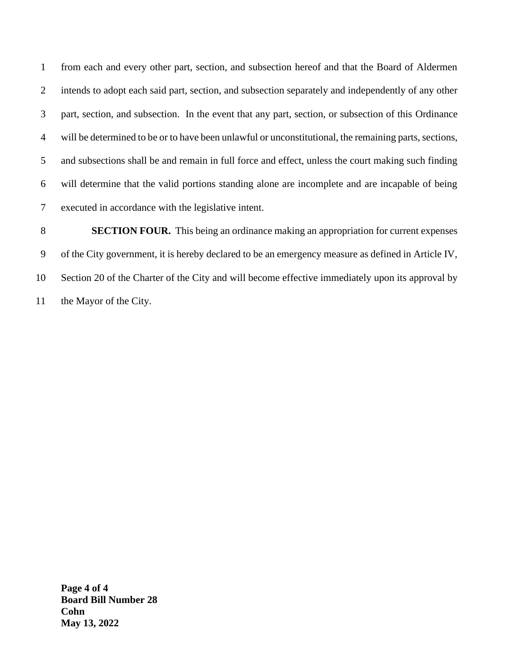from each and every other part, section, and subsection hereof and that the Board of Aldermen intends to adopt each said part, section, and subsection separately and independently of any other part, section, and subsection. In the event that any part, section, or subsection of this Ordinance will be determined to be or to have been unlawful or unconstitutional, the remaining parts, sections, and subsections shall be and remain in full force and effect, unless the court making such finding will determine that the valid portions standing alone are incomplete and are incapable of being executed in accordance with the legislative intent.

**SECTION FOUR.** This being an ordinance making an appropriation for current expenses of the City government, it is hereby declared to be an emergency measure as defined in Article IV, Section 20 of the Charter of the City and will become effective immediately upon its approval by the Mayor of the City.

**Page 4 of 4 Board Bill Number 28 Cohn May 13, 2022**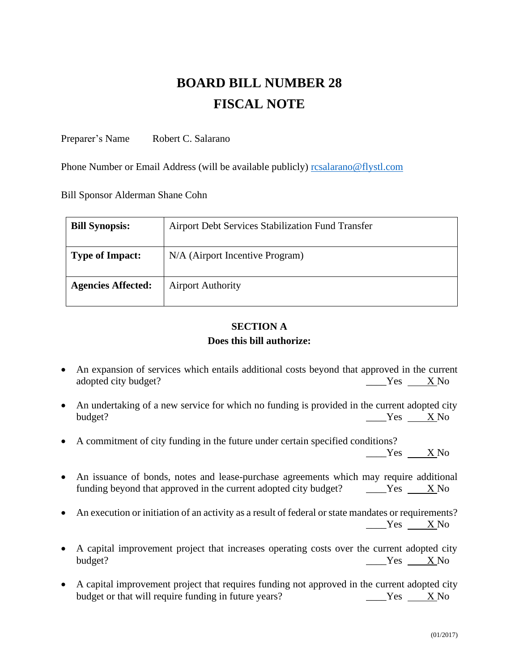# **BOARD BILL NUMBER 28 FISCAL NOTE**

Preparer's Name Robert C. Salarano

Phone Number or Email Address (will be available publicly) resalarano@flystl.com

Bill Sponsor Alderman Shane Cohn

| <b>Bill Synopsis:</b>     | Airport Debt Services Stabilization Fund Transfer |
|---------------------------|---------------------------------------------------|
| <b>Type of Impact:</b>    | N/A (Airport Incentive Program)                   |
| <b>Agencies Affected:</b> | <b>Airport Authority</b>                          |

#### **SECTION A Does this bill authorize:**

- An expansion of services which entails additional costs beyond that approved in the current adopted city budget? No analyze X No and Second Ves X No and Ves X No and Ves X No and Ves X No and Ves X No and Ves X No and Ves X No and Ves X No and Ves X No and Ves X No and Ves X No and Ves X No and Ves X No and Ves X
- An undertaking of a new service for which no funding is provided in the current adopted city budget? \_\_\_\_Yes X No
- A commitment of city funding in the future under certain specified conditions?

Yes X No

- An issuance of bonds, notes and lease-purchase agreements which may require additional funding beyond that approved in the current adopted city budget? \_\_\_\_\_Yes X No
- An execution or initiation of an activity as a result of federal or state mandates or requirements? \_\_\_\_Yes X No
- A capital improvement project that increases operating costs over the current adopted city budget?  $Y$ es X No
- A capital improvement project that requires funding not approved in the current adopted city budget or that will require funding in future years? The Solution Ves X No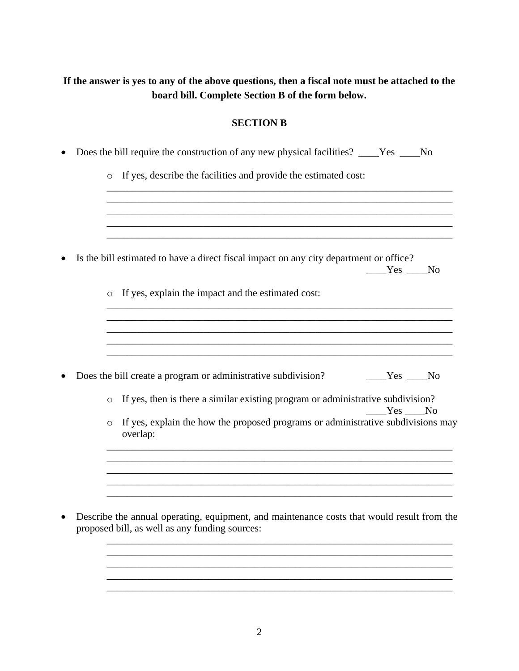## **If the answer is yes to any of the above questions, then a fiscal note must be attached to the board bill. Complete Section B of the form below.**

### **SECTION B**

|         | Does the bill require the construction of any new physical facilities? ____Yes ___No                                                         |
|---------|----------------------------------------------------------------------------------------------------------------------------------------------|
|         | o If yes, describe the facilities and provide the estimated cost:                                                                            |
|         |                                                                                                                                              |
|         | Is the bill estimated to have a direct fiscal impact on any city department or office?<br>Yes No                                             |
| $\circ$ | If yes, explain the impact and the estimated cost:                                                                                           |
|         |                                                                                                                                              |
|         |                                                                                                                                              |
|         | Does the bill create a program or administrative subdivision?<br>$Yes$ No                                                                    |
| $\circ$ | If yes, then is there a similar existing program or administrative subdivision?<br>$Yes$ No                                                  |
| $\circ$ | If yes, explain the how the proposed programs or administrative subdivisions may<br>overlap:                                                 |
|         |                                                                                                                                              |
|         |                                                                                                                                              |
|         | Describe the annual operating, equipment, and maintenance costs that would result from the<br>proposed bill, as well as any funding sources: |
|         |                                                                                                                                              |
|         |                                                                                                                                              |

\_\_\_\_\_\_\_\_\_\_\_\_\_\_\_\_\_\_\_\_\_\_\_\_\_\_\_\_\_\_\_\_\_\_\_\_\_\_\_\_\_\_\_\_\_\_\_\_\_\_\_\_\_\_\_\_\_\_\_\_\_\_\_\_\_\_\_\_